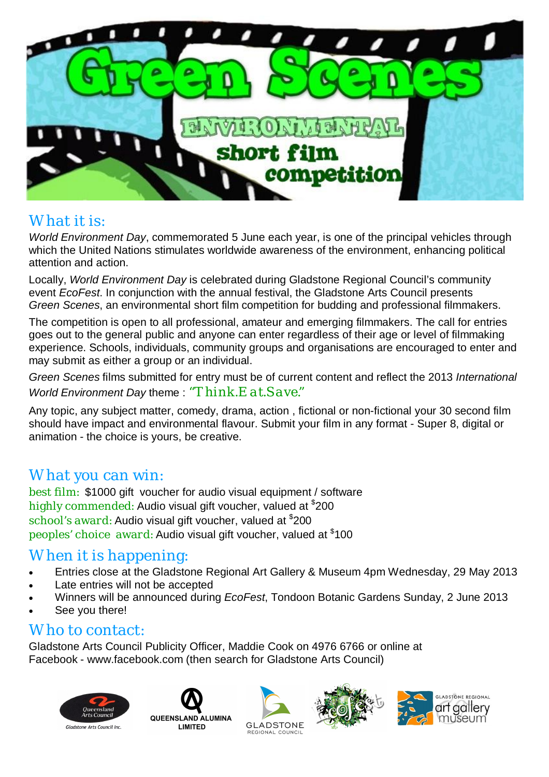

### What it is:

*World Environment Day*, commemorated 5 June each year, is one of the principal vehicles through which the United Nations stimulates worldwide awareness of the environment, enhancing political attention and action.

Locally, *World Environment Day* is celebrated during Gladstone Regional Council's community event *EcoFest*. In conjunction with the annual festival, the Gladstone Arts Council presents *Green Scenes*, an environmental short film competition for budding and professional filmmakers.

The competition is open to all professional, amateur and emerging filmmakers. The call for entries goes out to the general public and anyone can enter regardless of their age or level of filmmaking experience. Schools, individuals, community groups and organisations are encouraged to enter and may submit as either a group or an individual.

*Green Scenes* films submitted for entry must be of current content and reflect the 2013 *International World Environment Day* theme : *"Think.Eat.Save."*

Any topic, any subject matter, comedy, drama, action , fictional or non-fictional your 30 second film should have impact and environmental flavour. Submit your film in any format - Super 8, digital or animation - the choice is yours, be creative.

### What you can win:

best film: \$1000 gift voucher for audio visual equipment / software highly commended: Audio visual gift voucher, valued at  $\$$ 200 school′s award: Audio visual gift voucher, valued at <sup>\$</sup>200 peoples' choice award: Audio visual gift voucher, valued at \$100

# When it is happening:

- Entries close at the Gladstone Regional Art Gallery & Museum 4pm Wednesday, 29 May 2013
- Late entries will not be accepted
- Winners will be announced during *EcoFest*, Tondoon Botanic Gardens Sunday, 2 June 2013
- See you there!

#### Who to contact:

Gladstone Arts Council Publicity Officer, Maddie Cook on 4976 6766 or online at Facebook - www.facebook.com (then search for Gladstone Arts Council)